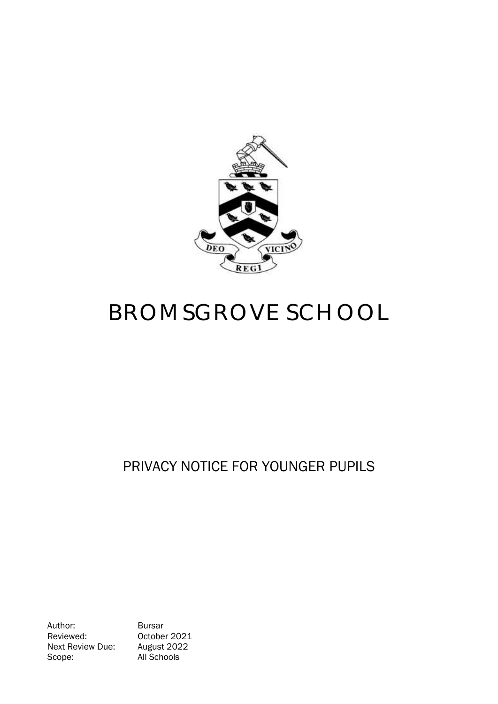

# BROMSGROVE SCHOOL

# PRIVACY NOTICE FOR YOUNGER PUPILS

Author: Bursar Reviewed: 0ctober 2021<br>Next Review Due: August 2022 Next Review Due: Scope: All Schools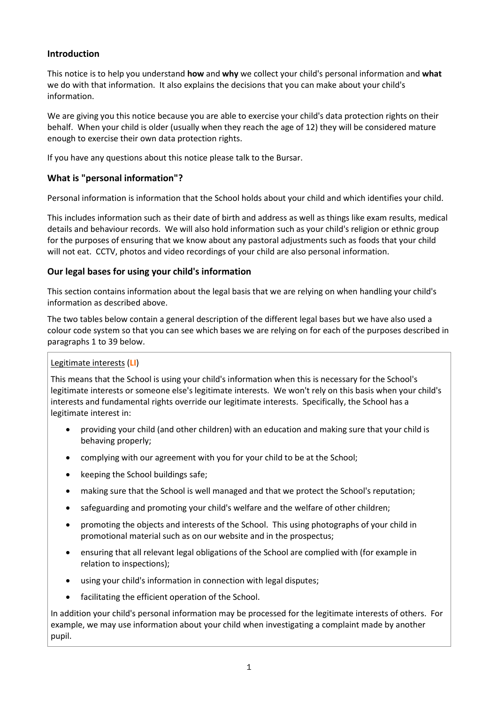# **Introduction**

This notice is to help you understand **how** and **why** we collect your child's personal information and **what** we do with that information. It also explains the decisions that you can make about your child's information.

We are giving you this notice because you are able to exercise your child's data protection rights on their behalf. When your child is older (usually when they reach the age of 12) they will be considered mature enough to exercise their own data protection rights.

If you have any questions about this notice please talk to the Bursar.

# **What is "personal information"?**

Personal information is information that the School holds about your child and which identifies your child.

This includes information such as their date of birth and address as well as things like exam results, medical details and behaviour records. We will also hold information such as your child's religion or ethnic group for the purposes of ensuring that we know about any pastoral adjustments such as foods that your child will not eat. CCTV, photos and video recordings of your child are also personal information.

### **Our legal bases for using your child's information**

This section contains information about the legal basis that we are relying on when handling your child's information as described above.

The two tables below contain a general description of the different legal bases but we have also used a colour code system so that you can see which bases we are relying on for each of the purposes described in paragraphs 1 to 39 below.

#### Legitimate interests (**LI**)

This means that the School is using your child's information when this is necessary for the School's legitimate interests or someone else's legitimate interests. We won't rely on this basis when your child's interests and fundamental rights override our legitimate interests. Specifically, the School has a legitimate interest in:

- providing your child (and other children) with an education and making sure that your child is behaving properly;
- complying with our agreement with you for your child to be at the School;
- keeping the School buildings safe;
- making sure that the School is well managed and that we protect the School's reputation;
- safeguarding and promoting your child's welfare and the welfare of other children;
- promoting the objects and interests of the School. This using photographs of your child in promotional material such as on our website and in the prospectus;
- ensuring that all relevant legal obligations of the School are complied with (for example in relation to inspections);
- using your child's information in connection with legal disputes;
- facilitating the efficient operation of the School.

In addition your child's personal information may be processed for the legitimate interests of others. For example, we may use information about your child when investigating a complaint made by another pupil.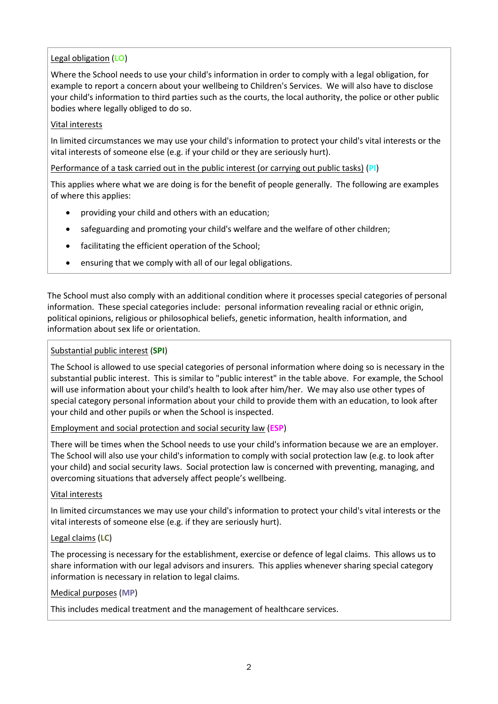# Legal obligation (**LO**)

Where the School needs to use your child's information in order to comply with a legal obligation, for example to report a concern about your wellbeing to Children's Services. We will also have to disclose your child's information to third parties such as the courts, the local authority, the police or other public bodies where legally obliged to do so.

#### Vital interests

In limited circumstances we may use your child's information to protect your child's vital interests or the vital interests of someone else (e.g. if your child or they are seriously hurt).

Performance of a task carried out in the public interest (or carrying out public tasks) (**PI**)

This applies where what we are doing is for the benefit of people generally. The following are examples of where this applies:

- providing your child and others with an education;
- safeguarding and promoting your child's welfare and the welfare of other children;
- facilitating the efficient operation of the School;
- ensuring that we comply with all of our legal obligations.

The School must also comply with an additional condition where it processes special categories of personal information. These special categories include: personal information revealing racial or ethnic origin, political opinions, religious or philosophical beliefs, genetic information, health information, and information about sex life or orientation.

#### Substantial public interest (**SPI**)

The School is allowed to use special categories of personal information where doing so is necessary in the substantial public interest. This is similar to "public interest" in the table above. For example, the School will use information about your child's health to look after him/her. We may also use other types of special category personal information about your child to provide them with an education, to look after your child and other pupils or when the School is inspected.

Employment and social protection and social security law (**ESP**)

There will be times when the School needs to use your child's information because we are an employer. The School will also use your child's information to comply with social protection law (e.g. to look after your child) and social security laws. Social protection law is concerned with preventing, managing, and overcoming situations that adversely affect people's wellbeing.

#### Vital interests

In limited circumstances we may use your child's information to protect your child's vital interests or the vital interests of someone else (e.g. if they are seriously hurt).

### Legal claims (**LC**)

The processing is necessary for the establishment, exercise or defence of legal claims. This allows us to share information with our legal advisors and insurers. This applies whenever sharing special category information is necessary in relation to legal claims.

#### Medical purposes (**MP**)

This includes medical treatment and the management of healthcare services.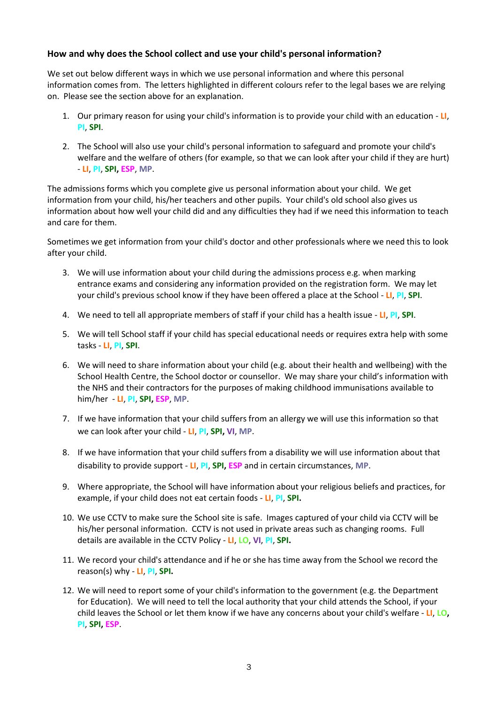### **How and why does the School collect and use your child's personal information?**

We set out below different ways in which we use personal information and where this personal information comes from. The letters highlighted in different colours refer to the legal bases we are relying on. Please see the section above for an explanation.

- 1. Our primary reason for using your child's information is to provide your child with an education **LI**, **PI**, **SPI**.
- 2. The School will also use your child's personal information to safeguard and promote your child's welfare and the welfare of others (for example, so that we can look after your child if they are hurt) - **LI**, **PI**, **SPI, ESP**, **MP**.

The admissions forms which you complete give us personal information about your child. We get information from your child, his/her teachers and other pupils. Your child's old school also gives us information about how well your child did and any difficulties they had if we need this information to teach and care for them.

Sometimes we get information from your child's doctor and other professionals where we need this to look after your child.

- 3. We will use information about your child during the admissions process e.g. when marking entrance exams and considering any information provided on the registration form. We may let your child's previous school know if they have been offered a place at the School - **LI**, **PI**, **SPI**.
- 4. We need to tell all appropriate members of staff if your child has a health issue **LI**, **PI**, **SPI**.
- 5. We will tell School staff if your child has special educational needs or requires extra help with some tasks - **LI**, **PI**, **SPI**.
- 6. We will need to share information about your child (e.g. about their health and wellbeing) with the School Health Centre, the School doctor or counsellor. We may share your child's information with the NHS and their contractors for the purposes of making childhood immunisations available to him/her - **LI**, **PI**, **SPI, ESP**, **MP**.
- 7. If we have information that your child suffers from an allergy we will use this information so that we can look after your child - **LI**, **PI**, **SPI, VI**, **MP**.
- 8. If we have information that your child suffers from a disability we will use information about that disability to provide support - **LI**, **PI**, **SPI, ESP** and in certain circumstances, **MP**.
- 9. Where appropriate, the School will have information about your religious beliefs and practices, for example, if your child does not eat certain foods - **LI**, **PI**, **SPI.**
- 10. We use CCTV to make sure the School site is safe. Images captured of your child via CCTV will be his/her personal information. CCTV is not used in private areas such as changing rooms. Full details are available in the CCTV Policy - **LI**, **LO**, **VI**, **PI**, **SPI.**
- 11. We record your child's attendance and if he or she has time away from the School we record the reason(s) why - **LI**, **PI**, **SPI.**
- 12. We will need to report some of your child's information to the government (e.g. the Department for Education). We will need to tell the local authority that your child attends the School, if your child leaves the School or let them know if we have any concerns about your child's welfare - **LI**, **LO, PI**, **SPI, ESP**.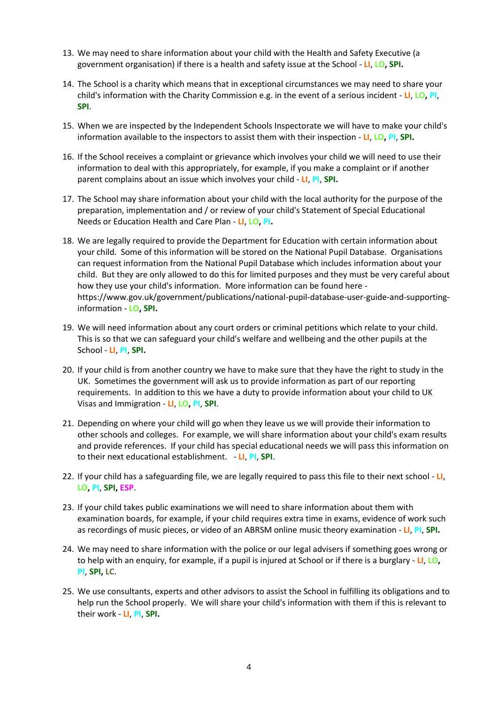- 13. We may need to share information about your child with the Health and Safety Executive (a government organisation) if there is a health and safety issue at the School - **LI**, **LO, SPI.**
- 14. The School is a charity which means that in exceptional circumstances we may need to share your child's information with the Charity Commission e.g. in the event of a serious incident - **LI**, **LO, PI**, **SPI**.
- 15. When we are inspected by the Independent Schools Inspectorate we will have to make your child's information available to the inspectors to assist them with their inspection - **LI**, **LO, PI**, **SPI.**
- 16. If the School receives a complaint or grievance which involves your child we will need to use their information to deal with this appropriately, for example, if you make a complaint or if another parent complains about an issue which involves your child - **LI**, **PI**, **SPI.**
- 17. The School may share information about your child with the local authority for the purpose of the preparation, implementation and / or review of your child's Statement of Special Educational Needs or Education Health and Care Plan - **LI**, **LO, PI.**
- 18. We are legally required to provide the Department for Education with certain information about your child. Some of this information will be stored on the National Pupil Database. Organisations can request information from the National Pupil Database which includes information about your child. But they are only allowed to do this for limited purposes and they must be very careful about how they use your child's information. More information can be found here [https://www.gov.uk/government/publications/national-pupil-database-user-guide-and-supporting](https://www.gov.uk/government/publications/national-pupil-database-user-guide-and-supporting-information)[information](https://www.gov.uk/government/publications/national-pupil-database-user-guide-and-supporting-information) - **LO, SPI.**
- 19. We will need information about any court orders or criminal petitions which relate to your child. This is so that we can safeguard your child's welfare and wellbeing and the other pupils at the School - **LI**, **PI**, **SPI.**
- 20. If your child is from another country we have to make sure that they have the right to study in the UK. Sometimes the government will ask us to provide information as part of our reporting requirements. In addition to this we have a duty to provide information about your child to UK Visas and Immigration - **LI**, **LO, PI**, **SPI**.
- 21. Depending on where your child will go when they leave us we will provide their information to other schools and colleges. For example, we will share information about your child's exam results and provide references. If your child has special educational needs we will pass this information on to their next educational establishment. - **LI**, **PI**, **SPI**.
- 22. If your child has a safeguarding file, we are legally required to pass this file to their next school **LI**, **LO, PI**, **SPI, ESP**.
- 23. If your child takes public examinations we will need to share information about them with examination boards, for example, if your child requires extra time in exams, evidence of work such as recordings of music pieces, or video of an ABRSM online music theory examination - **LI**, **PI**, **SPI.**
- 24. We may need to share information with the police or our legal advisers if something goes wrong or to help with an enquiry, for example, if a pupil is injured at School or if there is a burglary - **LI**, **LO, PI**, **SPI, LC**.
- 25. We use consultants, experts and other advisors to assist the School in fulfilling its obligations and to help run the School properly. We will share your child's information with them if this is relevant to their work - **LI**, **PI**, **SPI.**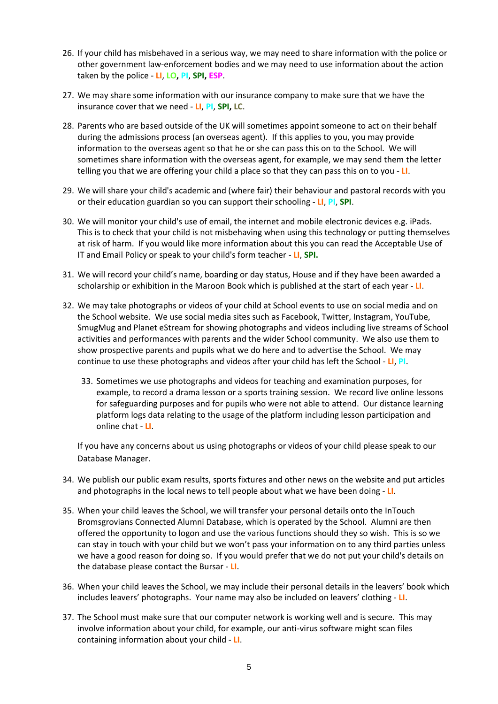- 26. If your child has misbehaved in a serious way, we may need to share information with the police or other government law-enforcement bodies and we may need to use information about the action taken by the police - **LI**, **LO, PI**, **SPI, ESP**.
- 27. We may share some information with our insurance company to make sure that we have the insurance cover that we need - **LI**, **PI**, **SPI, LC**.
- 28. Parents who are based outside of the UK will sometimes appoint someone to act on their behalf during the admissions process (an overseas agent). If this applies to you, you may provide information to the overseas agent so that he or she can pass this on to the School. We will sometimes share information with the overseas agent, for example, we may send them the letter telling you that we are offering your child a place so that they can pass this on to you - **LI**.
- 29. We will share your child's academic and (where fair) their behaviour and pastoral records with you or their education guardian so you can support their schooling - **LI**, **PI**, **SPI**.
- 30. We will monitor your child's use of email, the internet and mobile electronic devices e.g. iPads. This is to check that your child is not misbehaving when using this technology or putting themselves at risk of harm. If you would like more information about this you can read the Acceptable Use of IT and Email Policy or speak to your child's form teacher - **LI**, **SPI.**
- 31. We will record your child's name, boarding or day status, House and if they have been awarded a scholarship or exhibition in the Maroon Book which is published at the start of each year - **LI**.
- 32. We may take photographs or videos of your child at School events to use on social media and on the School website. We use social media sites such as Facebook, Twitter, Instagram, YouTube, SmugMug and Planet eStream for showing photographs and videos including live streams of School activities and performances with parents and the wider School community. We also use them to show prospective parents and pupils what we do here and to advertise the School. We may continue to use these photographs and videos after your child has left the School - **LI**, **PI**.
	- 33. Sometimes we use photographs and videos for teaching and examination purposes, for example, to record a drama lesson or a sports training session. We record live online lessons for safeguarding purposes and for pupils who were not able to attend. Our distance learning platform logs data relating to the usage of the platform including lesson participation and online chat - **LI**.

If you have any concerns about us using photographs or videos of your child please speak to our Database Manager.

- 34. We publish our public exam results, sports fixtures and other news on the website and put articles and photographs in the local news to tell people about what we have been doing - **LI**.
- 35. When your child leaves the School, we will transfer your personal details onto the InTouch Bromsgrovians Connected Alumni Database, which is operated by the School. Alumni are then offered the opportunity to logon and use the various functions should they so wish. This is so we can stay in touch with your child but we won't pass your information on to any third parties unless we have a good reason for doing so. If you would prefer that we do not put your child's details on the database please contact the Bursar - **LI**.
- 36. When your child leaves the School, we may include their personal details in the leavers' book which includes leavers' photographs. Your name may also be included on leavers' clothing - **LI**.
- 37. The School must make sure that our computer network is working well and is secure. This may involve information about your child, for example, our anti-virus software might scan files containing information about your child - **LI**.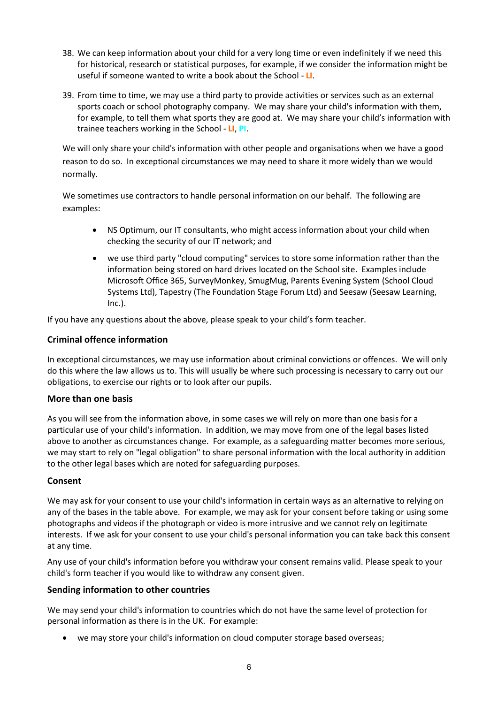- 38. We can keep information about your child for a very long time or even indefinitely if we need this for historical, research or statistical purposes, for example, if we consider the information might be useful if someone wanted to write a book about the School - **LI**.
- 39. From time to time, we may use a third party to provide activities or services such as an external sports coach or school photography company. We may share your child's information with them, for example, to tell them what sports they are good at. We may share your child's information with trainee teachers working in the School - **LI**, **PI**.

We will only share your child's information with other people and organisations when we have a good reason to do so. In exceptional circumstances we may need to share it more widely than we would normally.

We sometimes use contractors to handle personal information on our behalf. The following are examples:

- NS Optimum, our IT consultants, who might access information about your child when checking the security of our IT network; and
- we use third party "cloud computing" services to store some information rather than the information being stored on hard drives located on the School site. Examples include Microsoft Office 365, SurveyMonkey, SmugMug, Parents Evening System (School Cloud Systems Ltd), Tapestry (The Foundation Stage Forum Ltd) and Seesaw (Seesaw Learning, Inc.).

If you have any questions about the above, please speak to your child's form teacher.

### **Criminal offence information**

In exceptional circumstances, we may use information about criminal convictions or offences. We will only do this where the law allows us to. This will usually be where such processing is necessary to carry out our obligations, to exercise our rights or to look after our pupils.

#### **More than one basis**

As you will see from the information above, in some cases we will rely on more than one basis for a particular use of your child's information. In addition, we may move from one of the legal bases listed above to another as circumstances change. For example, as a safeguarding matter becomes more serious, we may start to rely on "legal obligation" to share personal information with the local authority in addition to the other legal bases which are noted for safeguarding purposes.

#### **Consent**

We may ask for your consent to use your child's information in certain ways as an alternative to relying on any of the bases in the table above. For example, we may ask for your consent before taking or using some photographs and videos if the photograph or video is more intrusive and we cannot rely on legitimate interests. If we ask for your consent to use your child's personal information you can take back this consent at any time.

Any use of your child's information before you withdraw your consent remains valid. Please speak to your child's form teacher if you would like to withdraw any consent given.

### **Sending information to other countries**

We may send your child's information to countries which do not have the same level of protection for personal information as there is in the UK. For example:

we may store your child's information on cloud computer storage based overseas;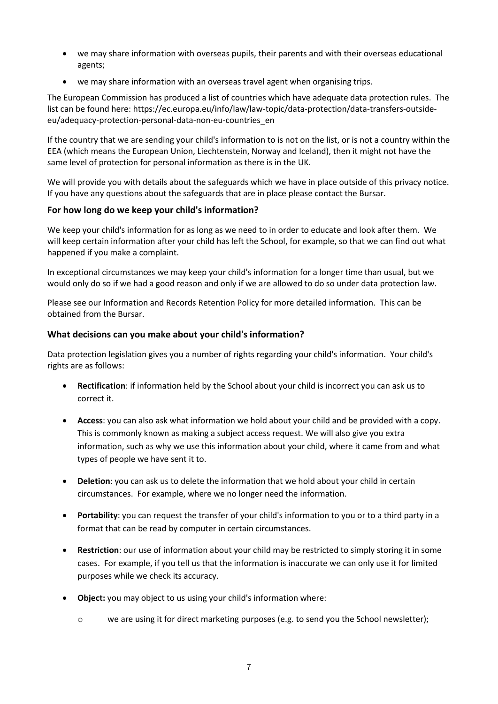- we may share information with overseas pupils, their parents and with their overseas educational agents;
- we may share information with an overseas travel agent when organising trips.

The European Commission has produced a list of countries which have adequate data protection rules. The list can be found here: https://ec.europa.eu/info/law/law-topic/data-protection/data-transfers-outsideeu/adequacy-protection-personal-data-non-eu-countries\_en

If the country that we are sending your child's information to is not on the list, or is not a country within the EEA (which means the European Union, Liechtenstein, Norway and Iceland), then it might not have the same level of protection for personal information as there is in the UK.

We will provide you with details about the safeguards which we have in place outside of this privacy notice. If you have any questions about the safeguards that are in place please contact the Bursar.

# **For how long do we keep your child's information?**

We keep your child's information for as long as we need to in order to educate and look after them. We will keep certain information after your child has left the School, for example, so that we can find out what happened if you make a complaint.

In exceptional circumstances we may keep your child's information for a longer time than usual, but we would only do so if we had a good reason and only if we are allowed to do so under data protection law.

Please see our Information and Records Retention Policy for more detailed information. This can be obtained from the Bursar.

# **What decisions can you make about your child's information?**

Data protection legislation gives you a number of rights regarding your child's information. Your child's rights are as follows:

- **Rectification**: if information held by the School about your child is incorrect you can ask us to correct it.
- **Access**: you can also ask what information we hold about your child and be provided with a copy. This is commonly known as making a subject access request. We will also give you extra information, such as why we use this information about your child, where it came from and what types of people we have sent it to.
- **Deletion**: you can ask us to delete the information that we hold about your child in certain circumstances. For example, where we no longer need the information.
- **Portability**: you can request the transfer of your child's information to you or to a third party in a format that can be read by computer in certain circumstances.
- **Restriction**: our use of information about your child may be restricted to simply storing it in some cases. For example, if you tell us that the information is inaccurate we can only use it for limited purposes while we check its accuracy.
- **Object:** you may object to us using your child's information where:
	- $\circ$  we are using it for direct marketing purposes (e.g. to send you the School newsletter);